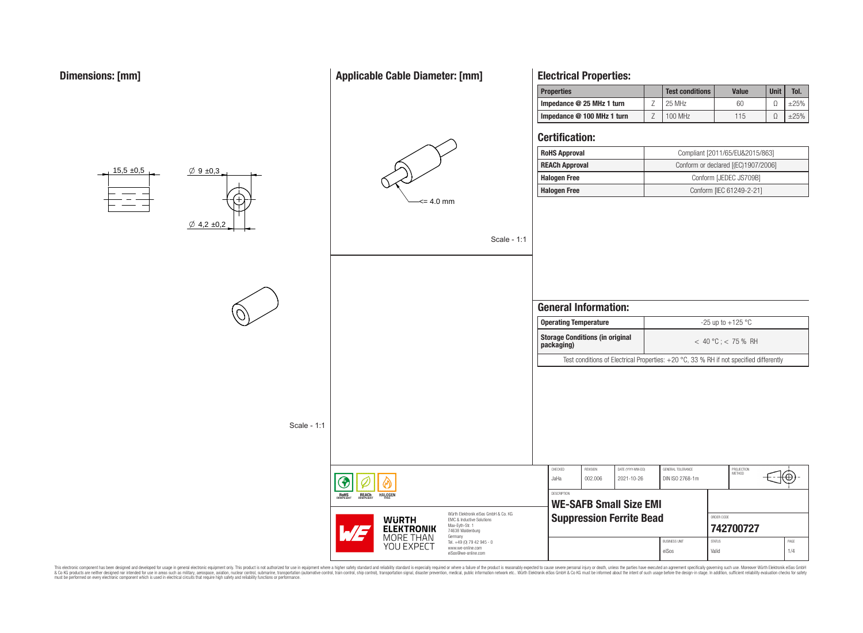$15.5 \pm 0.5$ 

# **Applicable Cable Diameter: [mm]**



# **Electrical Properties:**

| <b>Properties</b>           | <b>Test conditions</b> | <b>Value</b> | <b>Unit</b> | Tol. |
|-----------------------------|------------------------|--------------|-------------|------|
| Impedance $@$ 25 MHz 1 turn | 25 MHz                 | 60           |             |      |
| Impedance @ 100 MHz 1 turn  | 100 MHz                | 115          |             |      |

## **Certification:**

Scale - 1:1

| <b>RoHS Approval</b>  | Compliant [2011/65/EU&2015/863]     |
|-----------------------|-------------------------------------|
| <b>REACh Approval</b> | Conform or declared [(EC)1907/2006] |
| <b>Halogen Free</b>   | Conform [JEDEC JS709B]              |
| <b>Halogen Free</b>   | Conform [IEC 61249-2-21]            |



eiSos Valid 1/4



 $\varnothing$  9  $\pm$ 0,3

Scale - 1:1

This electronic component has been designed and developed for usage in general electronic equipment only. This product is not authorized for subserved requipment where a higher selection equipment where a higher selection

REACH

**HALOGEN** 

**WURTH ELEKTRONIK MORE THAN** YOU EXPECT

www.we-online.com eiSos@we-online.com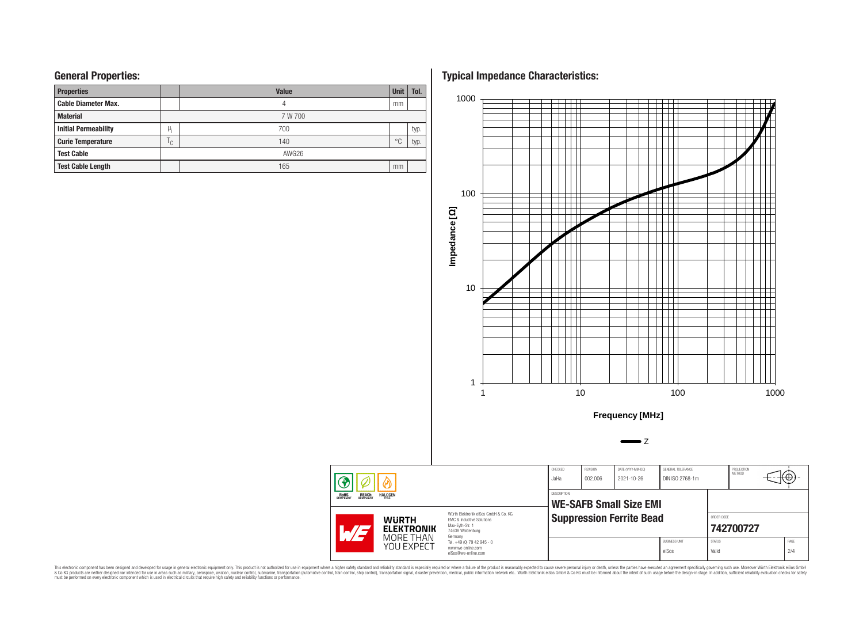## **General Properties:**

| <b>Properties</b>           |     | <b>Value</b> | <b>Unit</b>    | Tol. |  |  |  |
|-----------------------------|-----|--------------|----------------|------|--|--|--|
| <b>Cable Diameter Max.</b>  |     | 4            | mm             |      |  |  |  |
| <b>Material</b>             |     | 7 W 700      |                |      |  |  |  |
| <b>Initial Permeability</b> | μ,  | 700          |                | typ. |  |  |  |
| <b>Curie Temperature</b>    | ۱c, | 140          | $\circ$ $\cap$ | typ. |  |  |  |
| <b>Test Cable</b>           |     | AWG26        |                |      |  |  |  |
| <b>Test Cable Length</b>    |     | 165          | mm             |      |  |  |  |

**Typical Impedance Characteristics:**



This electronic component has been designed and developed for usage in general electronic equipment only. This product is not authorized for subserved requipment where a higher selection equipment where a higher selection

 $\circledast$ **ROHS**<br>COMPLIANT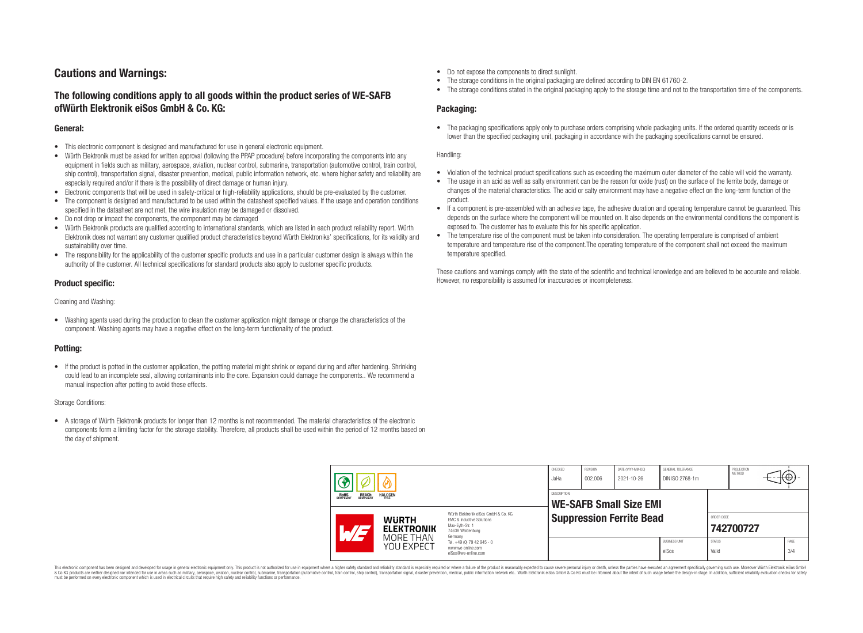# **Cautions and Warnings:**

## **The following conditions apply to all goods within the product series of WE-SAFB ofWürth Elektronik eiSos GmbH & Co. KG:**

#### **General:**

- This electronic component is designed and manufactured for use in general electronic equipment.
- Würth Elektronik must be asked for written approval (following the PPAP procedure) before incorporating the components into any equipment in fields such as military, aerospace, aviation, nuclear control, submarine, transportation (automotive control, train control, ship control), transportation signal, disaster prevention, medical, public information network, etc. where higher safety and reliability are especially required and/or if there is the possibility of direct damage or human injury.
- Electronic components that will be used in safety-critical or high-reliability applications, should be pre-evaluated by the customer.
- The component is designed and manufactured to be used within the datasheet specified values. If the usage and operation conditions specified in the datasheet are not met, the wire insulation may be damaged or dissolved.
- Do not drop or impact the components, the component may be damaged
- Würth Elektronik products are qualified according to international standards, which are listed in each product reliability report. Würth Elektronik does not warrant any customer qualified product characteristics beyond Würth Elektroniks' specifications, for its validity and sustainability over time.
- The responsibility for the applicability of the customer specific products and use in a particular customer design is always within the authority of the customer. All technical specifications for standard products also apply to customer specific products.

### **Product specific:**

Cleaning and Washing:

• Washing agents used during the production to clean the customer application might damage or change the characteristics of the component. Washing agents may have a negative effect on the long-term functionality of the product.

### **Potting:**

• If the product is potted in the customer application, the potting material might shrink or expand during and after hardening. Shrinking could lead to an incomplete seal, allowing contaminants into the core. Expansion could damage the components.. We recommend a manual inspection after potting to avoid these effects.

#### Storage Conditions:

• A storage of Würth Elektronik products for longer than 12 months is not recommended. The material characteristics of the electronic components form a limiting factor for the storage stability. Therefore, all products shall be used within the period of 12 months based on the day of shipment.

- Do not expose the components to direct sunlight.
- The storage conditions in the original packaging are defined according to DIN EN 61760-2.
- The storage conditions stated in the original packaging apply to the storage time and not to the transportation time of the components.

### **Packaging:**

• The packaging specifications apply only to purchase orders comprising whole packaging units. If the ordered quantity exceeds or is lower than the specified packaging unit, packaging in accordance with the packaging specifications cannot be ensured.

#### Handling:

- Violation of the technical product specifications such as exceeding the maximum outer diameter of the cable will void the warranty.
- The usage in an acid as well as salty environment can be the reason for oxide (rust) on the surface of the ferrite body, damage or changes of the material characteristics. The acid or salty environment may have a negative effect on the long-term function of the product.
- If a component is pre-assembled with an adhesive tape, the adhesive duration and operating temperature cannot be guaranteed. This depends on the surface where the component will be mounted on. It also depends on the environmental conditions the component is exposed to. The customer has to evaluate this for his specific application.
- The temperature rise of the component must be taken into consideration. The operating temperature is comprised of ambient temperature and temperature rise of the component.The operating temperature of the component shall not exceed the maximum temperature specified.

These cautions and warnings comply with the state of the scientific and technical knowledge and are believed to be accurate and reliable. However, no responsibility is assumed for inaccuracies or incompleteness.

| <b>REACH</b><br>COMPLIANT<br><b>HALOGEN</b><br>ROHS<br>COMPLIANT |  | CHECKED<br>JaHa                                                                                                                                                                                          | REVISION<br>002.006             | DATE (YYYY-MM-DD)<br>2021-10-26 | GENERAL TOLERANCE<br>DIN ISO 2768-1m |                        | PROJECTION<br><b>METHOD</b> |  | tΨ.         |
|------------------------------------------------------------------|--|----------------------------------------------------------------------------------------------------------------------------------------------------------------------------------------------------------|---------------------------------|---------------------------------|--------------------------------------|------------------------|-----------------------------|--|-------------|
|                                                                  |  | <b>DESCRIPTION</b><br><b>WE-SAFB Small Size EMI</b>                                                                                                                                                      |                                 |                                 |                                      |                        |                             |  |             |
| <b>WURTH</b><br><b>ELEKTRONIK</b><br><b>ATT</b>                  |  | Würth Elektronik eiSos GmbH & Co. KG<br><b>EMC &amp; Inductive Solutions</b><br>Max-Evth-Str. 1<br>74638 Waldenburg<br>Germany<br>Tel. +49 (0) 79 42 945 - 0<br>www.we-online.com<br>eiSos@we-online.com | <b>Suppression Ferrite Bead</b> |                                 |                                      |                        | ORDER CODE<br>742700727     |  |             |
| MORE THAN<br>YOU EXPECT                                          |  |                                                                                                                                                                                                          |                                 |                                 | <b>BUSINESS UNIT</b><br>eiSos        | <b>STATUS</b><br>Valid |                             |  | PAGE<br>3/4 |

This electronic component has been designed and developed for usage in general electronic equipment only. This product is not authorized for use in equipment where a higher safety standard and reliability standard si espec & Ook product a label and the membed of the seasuch as marked and as which such a membed and the such assume that income in the seasuch and the simulation and the such assume that include to the such a membed and the such